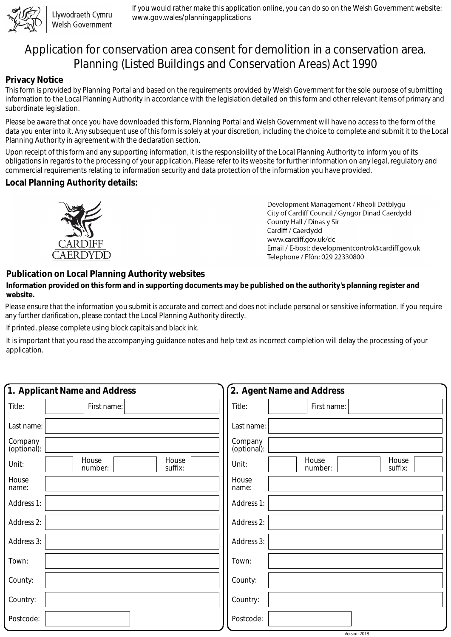

Llywodraeth Cymru Welsh Government

If you would rather make this application online, you can do so on the Welsh Government website: www.gov.wales/planningapplications

# Application for conservation area consent for demolition in a conservation area. Planning (Listed Buildings and Conservation Areas) Act 1990

### **Privacy Notice**

This form is provided by Planning Portal and based on the requirements provided by Welsh Government for the sole purpose of submitting information to the Local Planning Authority in accordance with the legislation detailed on this form and other relevant items of primary and subordinate legislation.

Please be aware that once you have downloaded this form, Planning Portal and Welsh Government will have no access to the form of the data you enter into it. Any subsequent use of this form is solely at your discretion, including the choice to complete and submit it to the Local Planning Authority in agreement with the declaration section.

Upon receipt of this form and any supporting information, it is the responsibility of the Local Planning Authority to inform you of its obligations in regards to the processing of your application. Please refer to its website for further information on any legal, regulatory and commercial requirements relating to information security and data protection of the information you have provided.

#### **Local Planning Authority details:**



Development Management / Rheoli Datblygu City of Cardiff Council / Gyngor Dinad Caerdydd County Hall / Dinas y Sir Cardiff / Caerdydd www.cardiff.gov.uk/dc Email / E-bost: developmentcontrol@cardiff.gov.uk Telephone / Ffôn: 029 22330800

## **Publication on Local Planning Authority websites**

#### **Information provided on this form and in supporting documents may be published on the authority's planning register and website.**

Please ensure that the information you submit is accurate and correct and does not include personal or sensitive information. If you require any further clarification, please contact the Local Planning Authority directly.

If printed, please complete using block capitals and black ink.

It is important that you read the accompanying guidance notes and help text as incorrect completion will delay the processing of your application.

| 1. Applicant Name and Address                 | 2. Agent Name and Address                     |
|-----------------------------------------------|-----------------------------------------------|
| Title:<br>First name:                         | Title:<br>First name:                         |
| Last name:                                    | Last name:                                    |
| Company<br>(optional):                        | Company<br>(optional):                        |
| House<br>House<br>Unit:<br>suffix:<br>number: | House<br>House<br>Unit:<br>suffix:<br>number: |
| House<br>name:                                | House<br>name:                                |
| Address 1:                                    | Address 1:                                    |
| Address 2:                                    | Address 2:                                    |
| Address 3:                                    | Address 3:                                    |
| Town:                                         | Town:                                         |
| County:                                       | County:                                       |
| Country:                                      | Country:                                      |
| Postcode:                                     | Postcode:                                     |
|                                               | Version 2018                                  |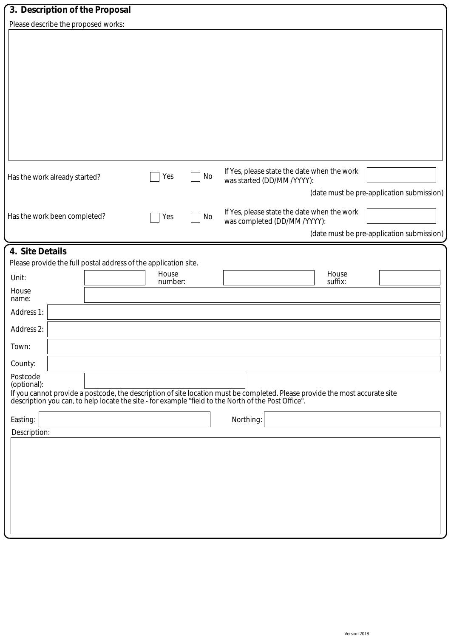| 3. Description of the Proposal                                  |                  |    |                                                                                                                                                                                                                                |                  |                                           |
|-----------------------------------------------------------------|------------------|----|--------------------------------------------------------------------------------------------------------------------------------------------------------------------------------------------------------------------------------|------------------|-------------------------------------------|
| Please describe the proposed works:                             |                  |    |                                                                                                                                                                                                                                |                  |                                           |
|                                                                 |                  |    |                                                                                                                                                                                                                                |                  |                                           |
|                                                                 |                  |    |                                                                                                                                                                                                                                |                  |                                           |
|                                                                 |                  |    |                                                                                                                                                                                                                                |                  |                                           |
|                                                                 |                  |    |                                                                                                                                                                                                                                |                  |                                           |
|                                                                 |                  |    |                                                                                                                                                                                                                                |                  |                                           |
|                                                                 |                  |    |                                                                                                                                                                                                                                |                  |                                           |
|                                                                 |                  |    |                                                                                                                                                                                                                                |                  |                                           |
|                                                                 |                  |    |                                                                                                                                                                                                                                |                  |                                           |
|                                                                 |                  |    |                                                                                                                                                                                                                                |                  |                                           |
| Has the work already started?                                   | Yes              | No | If Yes, please state the date when the work<br>was started (DD/MM /YYYY):                                                                                                                                                      |                  |                                           |
|                                                                 |                  |    |                                                                                                                                                                                                                                |                  | (date must be pre-application submission) |
|                                                                 |                  |    | If Yes, please state the date when the work                                                                                                                                                                                    |                  |                                           |
| Has the work been completed?                                    | Yes              | No | was completed (DD/MM /YYYY):                                                                                                                                                                                                   |                  |                                           |
|                                                                 |                  |    |                                                                                                                                                                                                                                |                  | (date must be pre-application submission) |
| 4. Site Details                                                 |                  |    |                                                                                                                                                                                                                                |                  |                                           |
| Please provide the full postal address of the application site. |                  |    |                                                                                                                                                                                                                                |                  |                                           |
| Unit:                                                           | House<br>number: |    |                                                                                                                                                                                                                                | House<br>suffix: |                                           |
| House<br>name:                                                  |                  |    |                                                                                                                                                                                                                                |                  |                                           |
| Address 1:                                                      |                  |    |                                                                                                                                                                                                                                |                  |                                           |
| Address 2:                                                      |                  |    |                                                                                                                                                                                                                                |                  |                                           |
| Town:                                                           |                  |    |                                                                                                                                                                                                                                |                  |                                           |
| County:                                                         |                  |    |                                                                                                                                                                                                                                |                  |                                           |
| Postcode<br>(optional):                                         |                  |    |                                                                                                                                                                                                                                |                  |                                           |
|                                                                 |                  |    | If you cannot provide a postcode, the description of site location must be completed. Please provide the most accurate site description you can, to help locate the site - for example "field to the North of the Post Office" |                  |                                           |
|                                                                 |                  |    |                                                                                                                                                                                                                                |                  |                                           |
| Easting:                                                        |                  |    | Northing:                                                                                                                                                                                                                      |                  |                                           |
| Description:                                                    |                  |    |                                                                                                                                                                                                                                |                  |                                           |
|                                                                 |                  |    |                                                                                                                                                                                                                                |                  |                                           |
|                                                                 |                  |    |                                                                                                                                                                                                                                |                  |                                           |
|                                                                 |                  |    |                                                                                                                                                                                                                                |                  |                                           |
|                                                                 |                  |    |                                                                                                                                                                                                                                |                  |                                           |
|                                                                 |                  |    |                                                                                                                                                                                                                                |                  |                                           |
|                                                                 |                  |    |                                                                                                                                                                                                                                |                  |                                           |
|                                                                 |                  |    |                                                                                                                                                                                                                                |                  |                                           |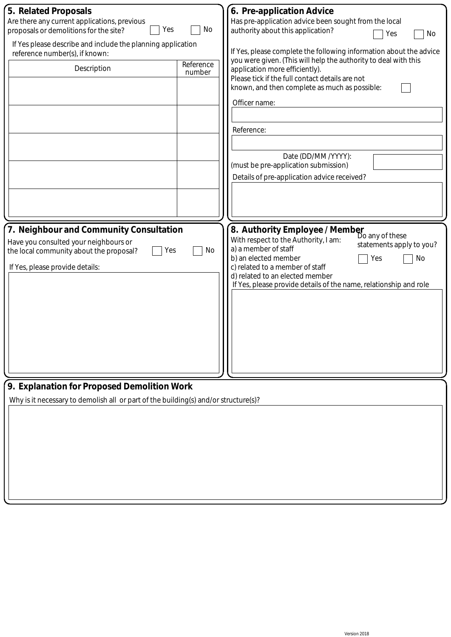| No                                                                                            | 6. Pre-application Advice<br>Has pre-application advice been sought from the local<br>authority about this application?<br>Yes<br>No                                                                                                                                                                                          |
|-----------------------------------------------------------------------------------------------|-------------------------------------------------------------------------------------------------------------------------------------------------------------------------------------------------------------------------------------------------------------------------------------------------------------------------------|
| If Yes please describe and include the planning application<br>reference number(s), if known: |                                                                                                                                                                                                                                                                                                                               |
| Reference<br>number                                                                           | you were given. (This will help the authority to deal with this<br>application more efficiently).<br>Please tick if the full contact details are not<br>known, and then complete as much as possible:<br>Officer name:                                                                                                        |
|                                                                                               |                                                                                                                                                                                                                                                                                                                               |
|                                                                                               | Reference:                                                                                                                                                                                                                                                                                                                    |
|                                                                                               | Date (DD/MM /YYYY):<br>(must be pre-application submission)                                                                                                                                                                                                                                                                   |
|                                                                                               | Details of pre-application advice received?                                                                                                                                                                                                                                                                                   |
|                                                                                               |                                                                                                                                                                                                                                                                                                                               |
|                                                                                               |                                                                                                                                                                                                                                                                                                                               |
| No                                                                                            | 8. Authority Employee / Member<br>Do any of these<br>With respect to the Authority, I am:<br>statements apply to you?<br>a) a member of staff<br>b) an elected member<br>Yes<br>No<br>c) related to a member of staff<br>d) related to an elected member<br>If Yes, please provide details of the name, relationship and role |
| 9. Explanation for Proposed Demolition Work                                                   |                                                                                                                                                                                                                                                                                                                               |
|                                                                                               |                                                                                                                                                                                                                                                                                                                               |
|                                                                                               | Why is it necessary to demolish all or part of the building(s) and/or structure(s)?                                                                                                                                                                                                                                           |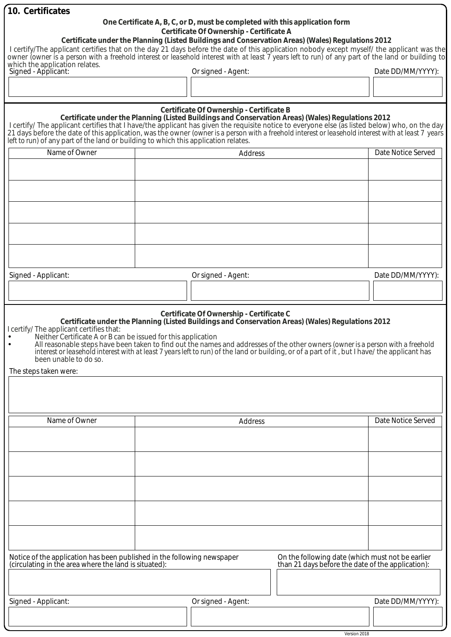| 10. Certificates                                                                                                                                                                                                                                                                                                                                                                                                                                                               |                |                                                                                                                         |                                                                                                       |                    |  |
|--------------------------------------------------------------------------------------------------------------------------------------------------------------------------------------------------------------------------------------------------------------------------------------------------------------------------------------------------------------------------------------------------------------------------------------------------------------------------------|----------------|-------------------------------------------------------------------------------------------------------------------------|-------------------------------------------------------------------------------------------------------|--------------------|--|
|                                                                                                                                                                                                                                                                                                                                                                                                                                                                                |                | One Certificate A, B, C, or D, must be completed with this application form<br>Certificate Of Ownership - Certificate A |                                                                                                       |                    |  |
| I certify/The applicant certifies that on the day 21 days before the date of this application nobody except myself/ the applicant was the<br>owner (owner is a person with a freehold interest or leasehold interest with at least 7 years left to run) of any part of the land or building to<br>which the application relates.                                                                                                                                               |                |                                                                                                                         | Certificate under the Planning (Listed Buildings and Conservation Areas) (Wales) Regulations 2012     |                    |  |
| Signed - Applicant:                                                                                                                                                                                                                                                                                                                                                                                                                                                            |                | Or signed - Agent:                                                                                                      |                                                                                                       | Date DD/MM/YYYY):  |  |
|                                                                                                                                                                                                                                                                                                                                                                                                                                                                                |                |                                                                                                                         |                                                                                                       |                    |  |
|                                                                                                                                                                                                                                                                                                                                                                                                                                                                                |                | Certificate Of Ownership - Certificate B                                                                                |                                                                                                       |                    |  |
| Certificate under the Planning (Listed Buildings and Conservation Areas) (Wales) Regulations 2012<br>I certify/ The applicant certifies that I have/the applicant has given the requisite notice to everyone else (as listed belo<br>21 days before the date of this application, was the owner (owner is a person with a freehold interest or leasehold interest with at least 7 years<br>left to run) of any part of the land or building to which this application relates. |                |                                                                                                                         |                                                                                                       |                    |  |
| Name of Owner                                                                                                                                                                                                                                                                                                                                                                                                                                                                  |                | <b>Address</b>                                                                                                          |                                                                                                       | Date Notice Served |  |
|                                                                                                                                                                                                                                                                                                                                                                                                                                                                                |                |                                                                                                                         |                                                                                                       |                    |  |
|                                                                                                                                                                                                                                                                                                                                                                                                                                                                                |                |                                                                                                                         |                                                                                                       |                    |  |
|                                                                                                                                                                                                                                                                                                                                                                                                                                                                                |                |                                                                                                                         |                                                                                                       |                    |  |
|                                                                                                                                                                                                                                                                                                                                                                                                                                                                                |                |                                                                                                                         |                                                                                                       |                    |  |
|                                                                                                                                                                                                                                                                                                                                                                                                                                                                                |                |                                                                                                                         |                                                                                                       |                    |  |
|                                                                                                                                                                                                                                                                                                                                                                                                                                                                                |                |                                                                                                                         |                                                                                                       |                    |  |
|                                                                                                                                                                                                                                                                                                                                                                                                                                                                                |                |                                                                                                                         |                                                                                                       |                    |  |
|                                                                                                                                                                                                                                                                                                                                                                                                                                                                                |                |                                                                                                                         |                                                                                                       |                    |  |
| Signed - Applicant:                                                                                                                                                                                                                                                                                                                                                                                                                                                            |                | Or signed - Agent:                                                                                                      |                                                                                                       | Date DD/MM/YYYY):  |  |
|                                                                                                                                                                                                                                                                                                                                                                                                                                                                                |                |                                                                                                                         |                                                                                                       |                    |  |
|                                                                                                                                                                                                                                                                                                                                                                                                                                                                                |                |                                                                                                                         |                                                                                                       |                    |  |
| I certify/ The applicant certifies that:<br>Neither Certificate A or B can be issued for this application<br>All reasonable steps have been taken to find out the names and addresses of the other owners (owner is a person with a freehold<br>interest or leasehold interest with at least 7 years left to run) of the land or building, or of a part of it, but I have/ the applicant has<br>been unable to do so.<br>The steps taken were:                                 |                |                                                                                                                         |                                                                                                       |                    |  |
|                                                                                                                                                                                                                                                                                                                                                                                                                                                                                |                |                                                                                                                         |                                                                                                       |                    |  |
| Name of Owner                                                                                                                                                                                                                                                                                                                                                                                                                                                                  | <b>Address</b> |                                                                                                                         |                                                                                                       | Date Notice Served |  |
|                                                                                                                                                                                                                                                                                                                                                                                                                                                                                |                |                                                                                                                         |                                                                                                       |                    |  |
|                                                                                                                                                                                                                                                                                                                                                                                                                                                                                |                |                                                                                                                         |                                                                                                       |                    |  |
|                                                                                                                                                                                                                                                                                                                                                                                                                                                                                |                |                                                                                                                         |                                                                                                       |                    |  |
|                                                                                                                                                                                                                                                                                                                                                                                                                                                                                |                |                                                                                                                         |                                                                                                       |                    |  |
|                                                                                                                                                                                                                                                                                                                                                                                                                                                                                |                |                                                                                                                         |                                                                                                       |                    |  |
|                                                                                                                                                                                                                                                                                                                                                                                                                                                                                |                |                                                                                                                         |                                                                                                       |                    |  |
|                                                                                                                                                                                                                                                                                                                                                                                                                                                                                |                |                                                                                                                         |                                                                                                       |                    |  |
|                                                                                                                                                                                                                                                                                                                                                                                                                                                                                |                |                                                                                                                         |                                                                                                       |                    |  |
|                                                                                                                                                                                                                                                                                                                                                                                                                                                                                |                |                                                                                                                         |                                                                                                       |                    |  |
| Notice of the application has been published in the following newspaper<br>(circulating in the area where the land is situated):                                                                                                                                                                                                                                                                                                                                               |                |                                                                                                                         | On the following date (which must not be earlier<br>than 21 days before the date of the application): |                    |  |
|                                                                                                                                                                                                                                                                                                                                                                                                                                                                                |                |                                                                                                                         |                                                                                                       |                    |  |
| Signed - Applicant:                                                                                                                                                                                                                                                                                                                                                                                                                                                            |                |                                                                                                                         |                                                                                                       |                    |  |
|                                                                                                                                                                                                                                                                                                                                                                                                                                                                                |                | Or signed - Agent:                                                                                                      |                                                                                                       | Date DD/MM/YYYY):  |  |
|                                                                                                                                                                                                                                                                                                                                                                                                                                                                                |                |                                                                                                                         |                                                                                                       |                    |  |